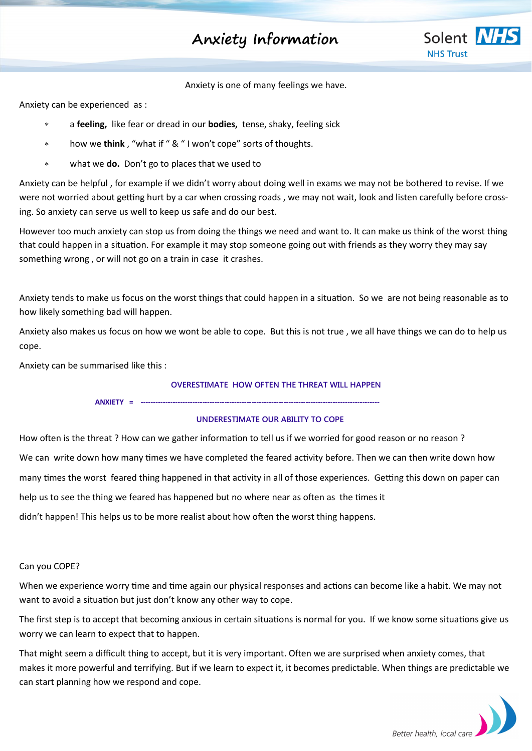# **Anxiety Information**



Anxiety is one of many feelings we have.

Anxiety can be experienced as :

- a **feeling,** like fear or dread in our **bodies,** tense, shaky, feeling sick
- how we **think** , "what if " & " I won't cope" sorts of thoughts.
- what we **do.** Don't go to places that we used to

Anxiety can be helpful , for example if we didn't worry about doing well in exams we may not be bothered to revise. If we were not worried about getting hurt by a car when crossing roads , we may not wait, look and listen carefully before crossing. So anxiety can serve us well to keep us safe and do our best.

However too much anxiety can stop us from doing the things we need and want to. It can make us think of the worst thing that could happen in a situation. For example it may stop someone going out with friends as they worry they may say something wrong , or will not go on a train in case it crashes.

Anxiety tends to make us focus on the worst things that could happen in a situation. So we are not being reasonable as to how likely something bad will happen.

Anxiety also makes us focus on how we wont be able to cope. But this is not true , we all have things we can do to help us cope.

Anxiety can be summarised like this :

### **OVERESTIMATE HOW OFTEN THE THREAT WILL HAPPEN**

**ANXIETY = -------------------------------------------------------------------------------------------------**

#### **UNDERESTIMATE OUR ABILITY TO COPE**

How often is the threat ? How can we gather information to tell us if we worried for good reason or no reason ? We can write down how many times we have completed the feared activity before. Then we can then write down how many times the worst feared thing happened in that activity in all of those experiences. Getting this down on paper can help us to see the thing we feared has happened but no where near as often as the times it didn't happen! This helps us to be more realist about how often the worst thing happens.

#### Can you COPE?

When we experience worry time and time again our physical responses and actions can become like a habit. We may not want to avoid a situation but just don't know any other way to cope.

The first step is to accept that becoming anxious in certain situations is normal for you. If we know some situations give us worry we can learn to expect that to happen.

That might seem a difficult thing to accept, but it is very important. Often we are surprised when anxiety comes, that makes it more powerful and terrifying. But if we learn to expect it, it becomes predictable. When things are predictable we can start planning how we respond and cope.